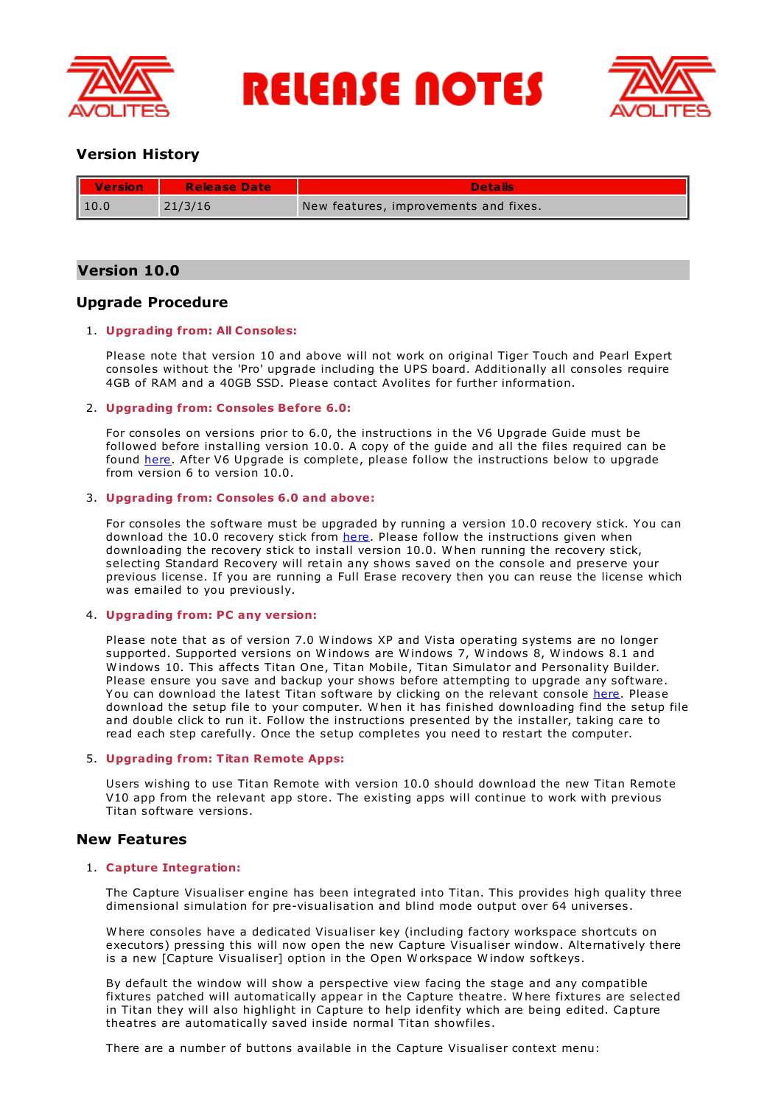

**RELEASE NOTES** 



# **Version History**

| II<br>Version | <b>Release Date</b> | <b>Details</b>                        |
|---------------|---------------------|---------------------------------------|
| $\vert$ 10.0  | 21/3/16             | New features, improvements and fixes. |

# **Version 10.0**

# **Upgrade Procedure**

# 1. **Upgrading from: All Consoles:**

Please note that version 10 and above will not work on original Tiger Touch and Pearl Expert consoles without the 'Pro' upgrade including the UPS board. Additionally all consoles require 4GB of RAM and a 40GB SSD. Please contact Avolites for further information.

# 2. **Upgrading from: Consoles Before 6.0:**

For consoles on versions prior to 6.0, the instructions in the V6 Upgrade Guide must be followed before installing version 10.0. A copy of the guide and all the files required can be found [here](http://www.avolites.com/V6Upgrade). After V6 Upgrade is complete, please follow the instructions below to upgrade from version 6 to version 10.0.

# 3. **Upgrading from: Consoles 6.0 and above:**

For consoles the software must be upgraded by running a version 10.0 recovery stick. You can download the 10.0 recovery stick from [here](http://www.avolites.com/software/latest-version). Please follow the instructions given when downloading the recovery stick to install version 10.0. W hen running the recovery stick, selecting Standard Recovery will retain any shows saved on the console and preserve your previous license. If you are running a Full Erase recovery then you can reuse the license which was emailed to you previously.

# 4. **Upgrading from: PC any version:**

Please note that as of version 7.0 W indows XP and Vista operating systems are no longer supported. Supported versions on W indows are W indows 7, W indows 8, W indows 8.1 and W indows 10. This affects Titan One, Titan Mobile, Titan Simulator and Personality Builder. Please ensure you save and backup your shows before attempting to upgrade any software. You can download the latest Titan software by clicking on the relevant console [here](http://www.avolites.com/software/latest-version). Please download the setup file to your computer. W hen it has finished downloading find the setup file and double click to run it. Follow the instructions presented by the installer, taking care to read each step carefully. Once the setup completes you need to restart the computer.

# 5. **Upgrading from: Titan Remote Apps:**

Users wishing to use Titan Remote with version 10.0 should download the new Titan Remote V10 app from the relevant app store. The existing apps will continue to work with previous Titan software versions.

# **New Features**

# 1. **Capture Integration:**

The Capture Visualiser engine has been integrated into Titan. This provides high quality three dimensional simulation for pre-visualisation and blind mode output over 64 universes.

W here consoles have a dedicated Visualiser key (including factory workspace shortcuts on executors) pressing this will now open the new Capture Visualiser window. Alternatively there is a new [Capture Visualiser] option in the Open W orkspace W indow softkeys.

By default the window will show a perspective view facing the stage and any compatible fixtures patched will automatically appear in the Capture theatre. W here fixtures are selected in Titan they will also highlight in Capture to help idenfity which are being edited. Capture theatres are automatically saved inside normal Titan showfiles.

There are a number of buttons available in the Capture Visualiser context menu: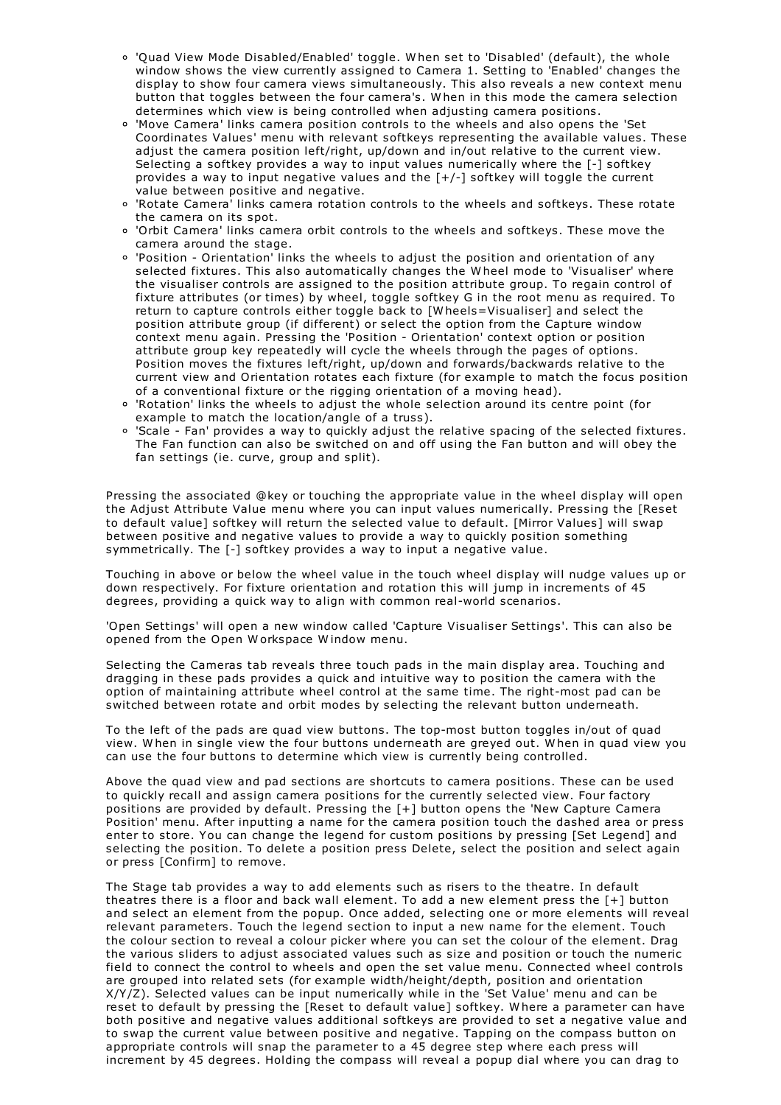- 'Quad View Mode Disabled/Enabled' toggle. W hen set to 'Disabled' (default), the whole window shows the view currently assigned to Camera 1. Setting to 'Enabled' changes the display to show four camera views simultaneously. This also reveals a new context menu button that toggles between the four camera's. W hen in this mode the camera selection determines which view is being controlled when adjusting camera positions.
- 'Move Camera' links camera position controls to the wheels and also opens the 'Set Coordinates Values' menu with relevant softkeys representing the available values. These adjust the camera position left/right, up/down and in/out relative to the current view. Selecting a softkey provides a way to input values numerically where the [-] softkey provides a way to input negative values and the [+/-] softkey will toggle the current value between positive and negative.
- 'Rotate Camera' links camera rotation controls to the wheels and softkeys. These rotate the camera on its spot.
- 'Orbit Camera' links camera orbit controls to the wheels and softkeys. These move the camera around the stage.
- 'Position Orientation' links the wheels to adjust the position and orientation of any selected fixtures. This also automatically changes the W heel mode to 'Visualiser' where the visualiser controls are assigned to the position attribute group. To regain control of fixture attributes (or times) by wheel, toggle softkey G in the root menu as required. To return to capture controls either toggle back to [W heels=Visualiser] and select the position attribute group (if different) or select the option from the Capture window context menu again. Pressing the 'Position - Orientation' context option or position attribute group key repeatedly will cycle the wheels through the pages of options. Position moves the fixtures left/right, up/down and forwards/backwards relative to the current view and Orientation rotates each fixture (for example to match the focus position of a conventional fixture or the rigging orientation of a moving head).
- 'Rotation' links the wheels to adjust the whole selection around its centre point (for example to match the location/angle of a truss).
- 'Scale Fan' provides a way to quickly adjust the relative spacing of the selected fixtures. The Fan function can also be switched on and off using the Fan button and will obey the fan settings (ie. curve, group and split).

Pressing the associated @key or touching the appropriate value in the wheel display will open the Adjust Attribute Value menu where you can input values numerically. Pressing the [Reset to default value] softkey will return the selected value to default. [Mirror Values] will swap between positive and negative values to provide a way to quickly position something symmetrically. The [-] softkey provides a way to input a negative value.

Touching in above or below the wheel value in the touch wheel display will nudge values up or down respectively. For fixture orientation and rotation this will jump in increments of 45 degrees, providing a quick way to align with common real-world scenarios.

'Open Settings' will open a new window called 'Capture Visualiser Settings'. This can also be opened from the Open Workspace Window menu.

Selecting the Cameras tab reveals three touch pads in the main display area. Touching and dragging in these pads provides a quick and intuitive way to position the camera with the option of maintaining attribute wheel control at the same time. The right-most pad can be switched between rotate and orbit modes by selecting the relevant button underneath.

To the left of the pads are quad view buttons. The top-most button toggles in/out of quad view. W hen in single view the four buttons underneath are greyed out. W hen in quad view you can use the four buttons to determine which view is currently being controlled.

Above the quad view and pad sections are shortcuts to camera positions. These can be used to quickly recall and assign camera positions for the currently selected view. Four factory positions are provided by default. Pressing the [+] button opens the 'New Capture Camera Position' menu. After inputting a name for the camera position touch the dashed area or press enter to store. You can change the legend for custom positions by pressing [Set Legend] and selecting the position. To delete a position press Delete, select the position and select again or press [Confirm] to remove.

The Stage tab provides a way to add elements such as risers to the theatre. In default theatres there is a floor and back wall element. To add a new element press the [+] button and select an element from the popup. Once added, selecting one or more elements will reveal relevant parameters. Touch the legend section to input a new name for the element. Touch the colour section to reveal a colour picker where you can set the colour of the element. Drag the various sliders to adjust associated values such as size and position or touch the numeric field to connect the control to wheels and open the set value menu. Connected wheel controls are grouped into related sets (for example width/height/depth, position and orientation X/Y/Z). Selected values can be input numerically while in the 'Set Value' menu and can be reset to default by pressing the [Reset to default value] softkey. W here a parameter can have both positive and negative values additional softkeys are provided to set a negative value and to swap the current value between positive and negative. Tapping on the compass button on appropriate controls will snap the parameter to a 45 degree step where each press will increment by 45 degrees. Holding the compass will reveal a popup dial where you can drag to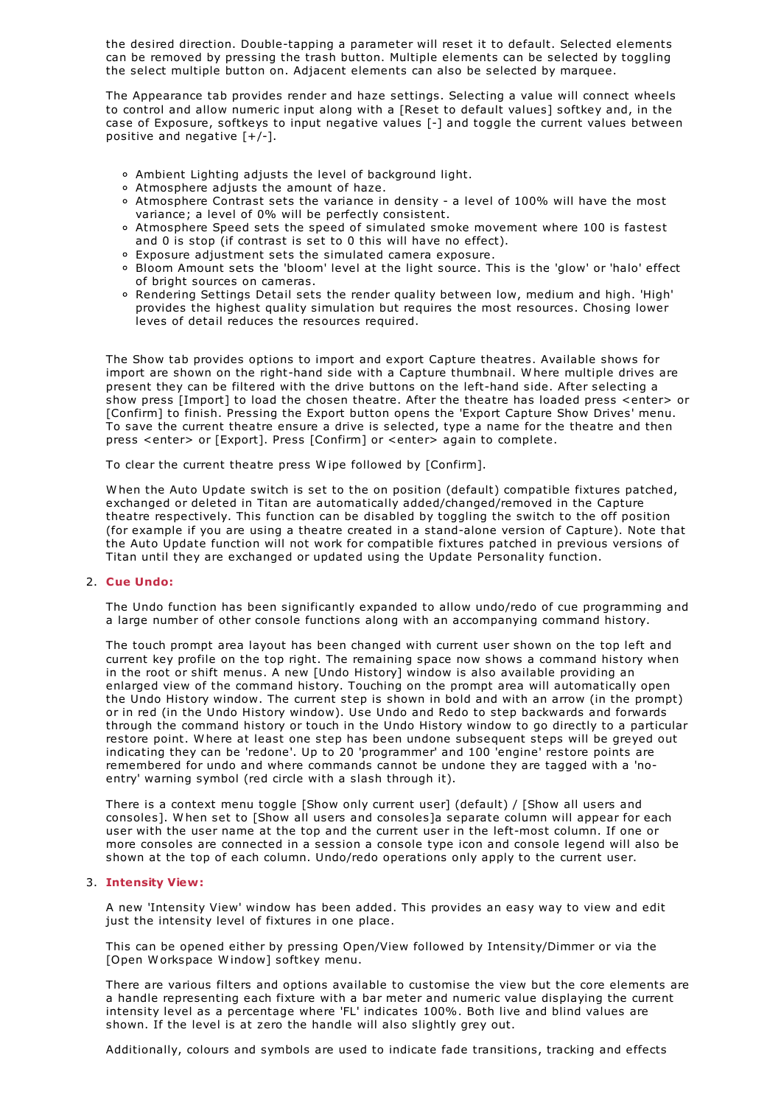the desired direction. Double-tapping a parameter will reset it to default. Selected elements can be removed by pressing the trash button. Multiple elements can be selected by toggling the select multiple button on. Adjacent elements can also be selected by marquee.

The Appearance tab provides render and haze settings. Selecting a value will connect wheels to control and allow numeric input along with a [Reset to default values] softkey and, in the case of Exposure, softkeys to input negative values [-] and toggle the current values between positive and negative  $[+/$ -].

- Ambient Lighting adjusts the level of background light.
- Atmosphere adjusts the amount of haze.
- Atmosphere Contrast sets the variance in density a level of 100% will have the most variance; a level of 0% will be perfectly consistent.
- Atmosphere Speed sets the speed of simulated smoke movement where 100 is fastest and 0 is stop (if contrast is set to 0 this will have no effect).
- Exposure adjustment sets the simulated camera exposure.
- Bloom Amount sets the 'bloom' level at the light source. This is the 'glow' or 'halo' effect of bright sources on cameras.
- o Rendering Settings Detail sets the render quality between low, medium and high. 'High' provides the highest quality simulation but requires the most resources. Chosing lower leves of detail reduces the resources required.

The Show tab provides options to import and export Capture theatres. Available shows for import are shown on the right-hand side with a Capture thumbnail. W here multiple drives are present they can be filtered with the drive buttons on the left-hand side. After selecting a show press [Import] to load the chosen theatre. After the theatre has loaded press <enter> or [Confirm] to finish. Pressing the Export button opens the 'Export Capture Show Drives' menu. To save the current theatre ensure a drive is selected, type a name for the theatre and then press <enter> or [Export]. Press [Confirm] or <enter> again to complete.

To clear the current theatre press W ipe followed by [Confirm].

W hen the Auto Update switch is set to the on position (default) compatible fixtures patched, exchanged or deleted in Titan are automatically added/changed/removed in the Capture theatre respectively. This function can be disabled by toggling the switch to the off position (for example if you are using a theatre created in a stand-alone version of Capture). Note that the Auto Update function will not work for compatible fixtures patched in previous versions of Titan until they are exchanged or updated using the Update Personality function.

# 2. **Cue Undo:**

The Undo function has been significantly expanded to allow undo/redo of cue programming and a large number of other console functions along with an accompanying command history.

The touch prompt area layout has been changed with current user shown on the top left and current key profile on the top right. The remaining space now shows a command history when in the root or shift menus. A new [Undo History] window is also available providing an enlarged view of the command history. Touching on the prompt area will automatically open the Undo History window. The current step is shown in bold and with an arrow (in the prompt) or in red (in the Undo History window). Use Undo and Redo to step backwards and forwards through the command history or touch in the Undo History window to go directly to a particular restore point. W here at least one step has been undone subsequent steps will be greyed out indicating they can be 'redone'. Up to 20 'programmer' and 100 'engine' restore points are remembered for undo and where commands cannot be undone they are tagged with a 'noentry' warning symbol (red circle with a slash through it).

There is a context menu toggle [Show only current user] (default) / [Show all users and consoles]. W hen set to [Show all users and consoles]a separate column will appear for each user with the user name at the top and the current user in the left-most column. If one or more consoles are connected in a session a console type icon and console legend will also be shown at the top of each column. Undo/redo operations only apply to the current user.

# 3. **Intensity View:**

A new 'Intensity View' window has been added. This provides an easy way to view and edit just the intensity level of fixtures in one place.

This can be opened either by pressing Open/View followed by Intensity/Dimmer or via the [Open W orkspace W indow] softkey menu.

There are various filters and options available to customise the view but the core elements are a handle representing each fixture with a bar meter and numeric value displaying the current intensity level as a percentage where 'FL' indicates 100%. Both live and blind values are shown. If the level is at zero the handle will also slightly grey out.

Additionally, colours and symbols are used to indicate fade transitions, tracking and effects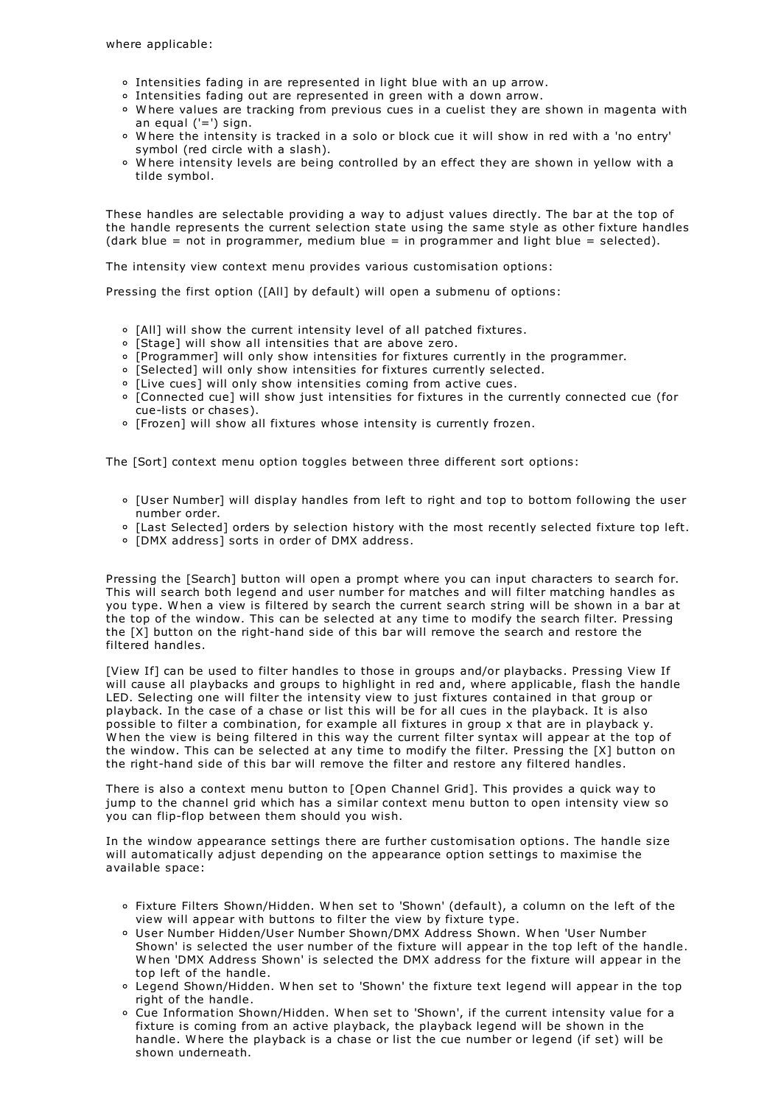- $\circ$  Intensities fading in are represented in light blue with an up arrow.<br> $\circ$  Intensities fading out are represented in green with a down arrow.
- 
- $\circ$  Where values are tracking from previous cues in a cuelist they are shown in magenta with an equal ('=') sign.
- <sup>o</sup> Where the intensity is tracked in a solo or block cue it will show in red with a 'no entry'
- symbol (red circle with a slash).<br>  $\circ$  Where intensity levels are being controlled by an effect they are shown in yellow with a tilde symbol.

These handles are selectable providing a way to adjust values directly. The bar at the top of the handle represents the current selection state using the same style as other fixture handles (dark blue = not in programmer, medium blue = in programmer and light blue = selected).

The intensity view context menu provides various customisation options:

Pressing the first option ([All] by default) will open a submenu of options:

- [All] will show the current intensity level of all patched fixtures.
- o [Stage] will show all intensities that are above zero.
- [Programmer] will only show intensities for fixtures currently in the programmer.
- [Selected] will only show intensities for fixtures currently selected.
- o [Live cues] will only show intensities coming from active cues.
- [Connected cue] will show just intensities for fixtures in the currently connected cue (for cue-lists or chases).
- o [Frozen] will show all fixtures whose intensity is currently frozen.

The [Sort] context menu option toggles between three different sort options:

- [User Number] will display handles from left to right and top to bottom following the user number order.
- [Last Selected] orders by selection history with the most recently selected fixture top left.
- [DMX address] sorts in order of DMX address.

Pressing the [Search] button will open a prompt where you can input characters to search for. This will search both legend and user number for matches and will filter matching handles as you type. W hen a view is filtered by search the current search string will be shown in a bar at the top of the window. This can be selected at any time to modify the search filter. Pressing the [X] button on the right-hand side of this bar will remove the search and restore the filtered handles.

[View If] can be used to filter handles to those in groups and/or playbacks. Pressing View If will cause all playbacks and groups to highlight in red and, where applicable, flash the handle LED. Selecting one will filter the intensity view to just fixtures contained in that group or playback. In the case of a chase or list this will be for all cues in the playback. It is also possible to filter a combination, for example all fixtures in group x that are in playback y.<br>W hen the view is being filtered in this way the current filter syntax will appear at the top of the window. This can be selected at any time to modify the filter. Pressing the [X] button on the right-hand side of this bar will remove the filter and restore any filtered handles.

There is also a context menu button to [Open Channel Grid]. This provides a quick way to jump to the channel grid which has a similar context menu button to open intensity view so you can flip-flop between them should you wish.

In the window appearance settings there are further customisation options. The handle size will automatically adjust depending on the appearance option settings to maximise the available space:

- Fixture Filters Shown/Hidden. W hen set to 'Shown' (default), a column on the left of the view will appear with buttons to filter the view by fixture type.
- User Number Hidden/User Number Shown/DMX Address Shown. W hen 'User Number Shown' is selected the user number of the fixture will appear in the top left of the handle. W hen 'DMX Address Shown' is selected the DMX address for the fixture will appear in the top left of the handle.
- Legend Shown/Hidden. W hen set to 'Shown' the fixture text legend will appear in the top right of the handle.
- Cue Information Shown/Hidden. W hen set to 'Shown', if the current intensity value for a fixture is coming from an active playback, the playback legend will be shown in the handle. W here the playback is a chase or list the cue number or legend (if set) will be shown underneath.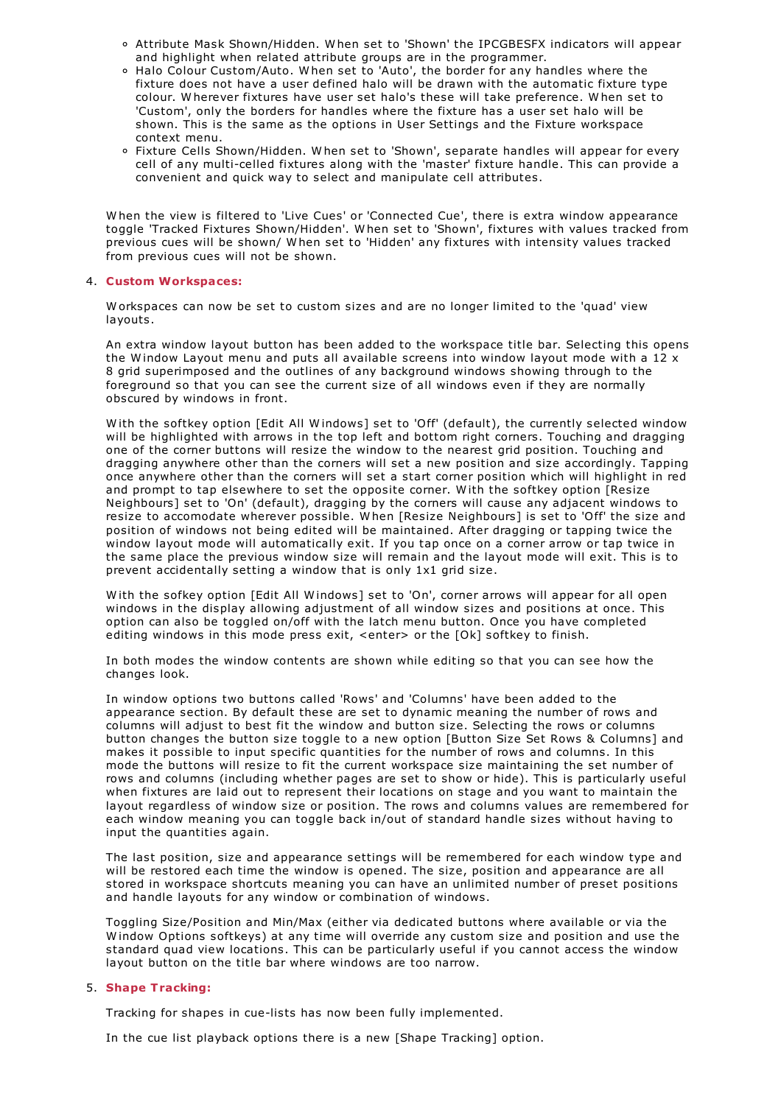- Attribute Mask Shown/Hidden. W hen set to 'Shown' the IPCGBESFX indicators will appear and highlight when related attribute groups are in the programmer.
- Halo Colour Custom/Auto. When set to 'Auto', the border for any handles where the fixture does not have a user defined halo will be drawn with the automatic fixture type colour. W herever fixtures have user set halo's these will take preference. W hen set to 'Custom', only the borders for handles where the fixture has a user set halo will be shown. This is the same as the options in User Settings and the Fixture workspace context menu.
- Fixture Cells Shown/Hidden. W hen set to 'Shown', separate handles will appear for every cell of any multi-celled fixtures along with the 'master' fixture handle. This can provide a convenient and quick way to select and manipulate cell attributes.

W hen the view is filtered to 'Live Cues' or 'Connected Cue', there is extra window appearance toggle 'Tracked Fixtures Shown/Hidden'. W hen set to 'Shown', fixtures with values tracked from previous cues will be shown/ W hen set to 'Hidden' any fixtures with intensity values tracked from previous cues will not be shown.

### 4. **Custom Workspaces:**

W orkspaces can now be set to custom sizes and are no longer limited to the 'quad' view layouts.

An extra window layout button has been added to the workspace title bar. Selecting this opens the W indow Layout menu and puts all available screens into window layout mode with a 12 x 8 grid superimposed and the outlines of any background windows showing through to the foreground so that you can see the current size of all windows even if they are normally obscured by windows in front.

W ith the softkey option [Edit All W indows] set to 'Off' (default), the currently selected window will be highlighted with arrows in the top left and bottom right corners. Touching and dragging one of the corner buttons will resize the window to the nearest grid position. Touching and dragging anywhere other than the corners will set a new position and size accordingly. Tapping once anywhere other than the corners will set a start corner position which will highlight in red and prompt to tap elsewhere to set the opposite corner. W ith the softkey option [Resize Neighbours] set to 'On' (default), dragging by the corners will cause any adjacent windows to resize to accomodate wherever possible. W hen [Resize Neighbours] is set to 'Off' the size and position of windows not being edited will be maintained. After dragging or tapping twice the window layout mode will automatically exit. If you tap once on a corner arrow or tap twice in the same place the previous window size will remain and the layout mode will exit. This is to prevent accidentally setting a window that is only 1x1 grid size.

W ith the sofkey option [Edit All W indows] set to 'On', corner arrows will appear for all open windows in the display allowing adjustment of all window sizes and positions at once. This option can also be toggled on/off with the latch menu button. Once you have completed editing windows in this mode press exit, <enter> or the [Ok] softkey to finish.

In both modes the window contents are shown while editing so that you can see how the changes look.

In window options two buttons called 'Rows' and 'Columns' have been added to the appearance section. By default these are set to dynamic meaning the number of rows and columns will adjust to best fit the window and button size. Selecting the rows or columns button changes the button size toggle to a new option [Button Size Set Rows & Columns] and makes it possible to input specific quantities for the number of rows and columns. In this mode the buttons will resize to fit the current workspace size maintaining the set number of rows and columns (including whether pages are set to show or hide). This is particularly useful when fixtures are laid out to represent their locations on stage and you want to maintain the layout regardless of window size or position. The rows and columns values are remembered for each window meaning you can toggle back in/out of standard handle sizes without having to input the quantities again.

The last position, size and appearance settings will be remembered for each window type and will be restored each time the window is opened. The size, position and appearance are all stored in workspace shortcuts meaning you can have an unlimited number of preset positions and handle layouts for any window or combination of windows.

Toggling Size/Position and Min/Max (either via dedicated buttons where available or via the W indow Options softkeys) at any time will override any custom size and position and use the standard quad view locations. This can be particularly useful if you cannot access the window layout button on the title bar where windows are too narrow.

# 5. **Shape Tracking:**

Tracking for shapes in cue-lists has now been fully implemented.

In the cue list playback options there is a new [Shape Tracking] option.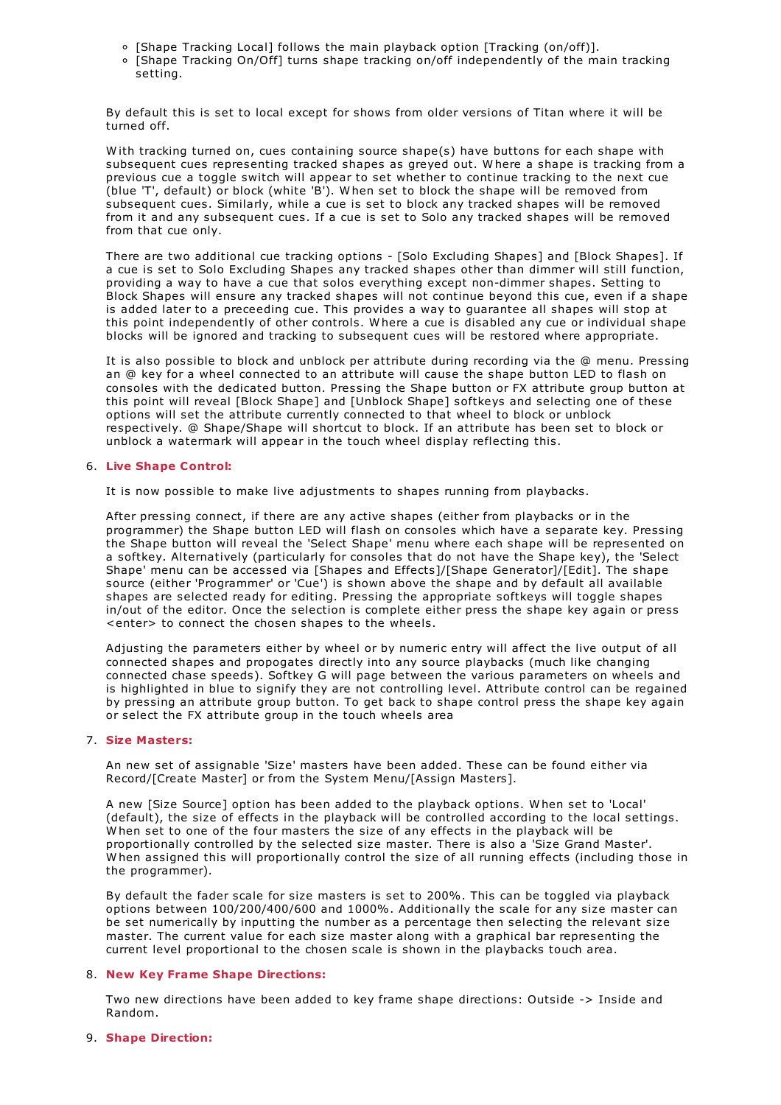- [Shape Tracking Local] follows the main playback option [Tracking (on/off)].
- [Shape Tracking On/Off] turns shape tracking on/off independently of the main tracking setting.

By default this is set to local except for shows from older versions of Titan where it will be turned off.

W ith tracking turned on, cues containing source shape(s) have buttons for each shape with subsequent cues representing tracked shapes as greyed out. W here a shape is tracking from a previous cue a toggle switch will appear to set whether to continue tracking to the next cue (blue 'T', default) or block (white 'B'). W hen set to block the shape will be removed from subsequent cues. Similarly, while a cue is set to block any tracked shapes will be removed from it and any subsequent cues. If a cue is set to Solo any tracked shapes will be removed from that cue only.

There are two additional cue tracking options - [Solo Excluding Shapes] and [Block Shapes]. If a cue is set to Solo Excluding Shapes any tracked shapes other than dimmer will still function, providing a way to have a cue that solos everything except non-dimmer shapes. Setting to Block Shapes will ensure any tracked shapes will not continue beyond this cue, even if a shape is added later to a preceeding cue. This provides a way to guarantee all shapes will stop at this point independently of other controls. W here a cue is disabled any cue or individual shape blocks will be ignored and tracking to subsequent cues will be restored where appropriate.

It is also possible to block and unblock per attribute during recording via the @ menu. Pressing an @ key for a wheel connected to an attribute will cause the shape button LED to flash on consoles with the dedicated button. Pressing the Shape button or FX attribute group button at this point will reveal [Block Shape] and [Unblock Shape] softkeys and selecting one of these options will set the attribute currently connected to that wheel to block or unblock respectively. @ Shape/Shape will shortcut to block. If an attribute has been set to block or unblock a watermark will appear in the touch wheel display reflecting this.

# 6. **Live Shape Control:**

It is now possible to make live adjustments to shapes running from playbacks.

After pressing connect, if there are any active shapes (either from playbacks or in the programmer) the Shape button LED will flash on consoles which have a separate key. Pressing the Shape button will reveal the 'Select Shape' menu where each shape will be represented on a softkey. Alternatively (particularly for consoles that do not have the Shape key), the 'Select Shape' menu can be accessed via [Shapes and Effects]/[Shape Generator]/[Edit]. The shape source (either 'Programmer' or 'Cue') is shown above the shape and by default all available shapes are selected ready for editing. Pressing the appropriate softkeys will toggle shapes in/out of the editor. Once the selection is complete either press the shape key again or press <enter> to connect the chosen shapes to the wheels.

Adjusting the parameters either by wheel or by numeric entry will affect the live output of all connected shapes and propogates directly into any source playbacks (much like changing connected chase speeds). Softkey G will page between the various parameters on wheels and is highlighted in blue to signify they are not controlling level. Attribute control can be regained by pressing an attribute group button. To get back to shape control press the shape key again or select the FX attribute group in the touch wheels area

# 7. **Size Masters:**

An new set of assignable 'Size' masters have been added. These can be found either via Record/[Create Master] or from the System Menu/[Assign Masters].

A new [Size Source] option has been added to the playback options. W hen set to 'Local' (default), the size of effects in the playback will be controlled according to the local settings. W hen set to one of the four masters the size of any effects in the playback will be proportionally controlled by the selected size master. There is also a 'Size Grand Master'. W hen assigned this will proportionally control the size of all running effects (including those in the programmer).

By default the fader scale for size masters is set to 200%. This can be toggled via playback options between 100/200/400/600 and 1000%. Additionally the scale for any size master can be set numerically by inputting the number as a percentage then selecting the relevant size master. The current value for each size master along with a graphical bar representing the current level proportional to the chosen scale is shown in the playbacks touch area.

# 8. **New Key Frame Shape Directions:**

Two new directions have been added to key frame shape directions: Outside -> Inside and Random.

# 9. **Shape Direction:**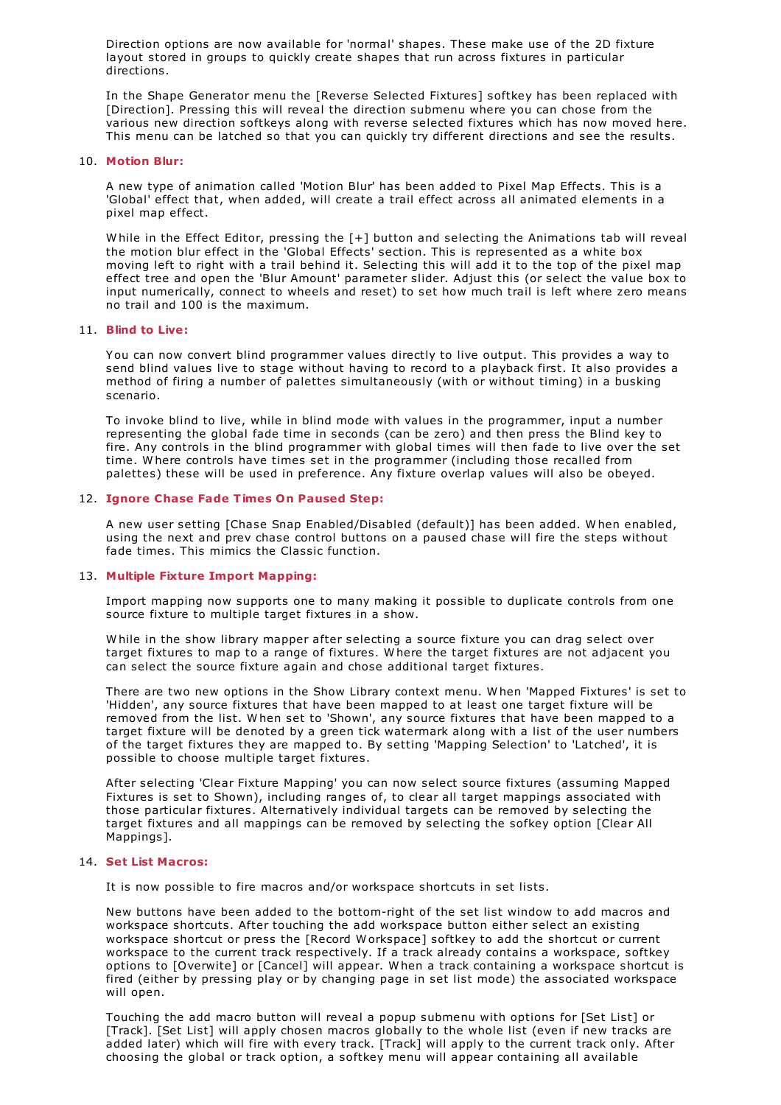Direction options are now available for 'normal' shapes. These make use of the 2D fixture layout stored in groups to quickly create shapes that run across fixtures in particular directions.

In the Shape Generator menu the [Reverse Selected Fixtures] softkey has been replaced with [Direction]. Pressing this will reveal the direction submenu where you can chose from the various new direction softkeys along with reverse selected fixtures which has now moved here. This menu can be latched so that you can quickly try different directions and see the results.

#### 10. **Motion Blur:**

A new type of animation called 'Motion Blur' has been added to Pixel Map Effects. This is a 'Global' effect that, when added, will create a trail effect across all animated elements in a pixel map effect.

While in the Effect Editor, pressing the [+] button and selecting the Animations tab will reveal the motion blur effect in the 'Global Effects' section. This is represented as a white box moving left to right with a trail behind it. Selecting this will add it to the top of the pixel map effect tree and open the 'Blur Amount' parameter slider. Adjust this (or select the value box to input numerically, connect to wheels and reset) to set how much trail is left where zero means no trail and 100 is the maximum.

#### 11. **Blind to Live:**

You can now convert blind programmer values directly to live output. This provides a way to send blind values live to stage without having to record to a playback first. It also provides a method of firing a number of palettes simultaneously (with or without timing) in a busking scenario.

To invoke blind to live, while in blind mode with values in the programmer, input a number representing the global fade time in seconds (can be zero) and then press the Blind key to fire. Any controls in the blind programmer with global times will then fade to live over the set time. W here controls have times set in the programmer (including those recalled from palettes) these will be used in preference. Any fixture overlap values will also be obeyed.

### 12. **Ignore Chase Fade Times On Paused Step:**

A new user setting [Chase Snap Enabled/Disabled (default)] has been added. W hen enabled, using the next and prev chase control buttons on a paused chase will fire the steps without fade times. This mimics the Classic function.

# 13. **Multiple Fixture Import Mapping:**

Import mapping now supports one to many making it possible to duplicate controls from one source fixture to multiple target fixtures in a show.

W hile in the show library mapper after selecting a source fixture you can drag select over target fixtures to map to a range of fixtures. W here the target fixtures are not adjacent you can select the source fixture again and chose additional target fixtures.

There are two new options in the Show Library context menu. W hen 'Mapped Fixtures' is set to 'Hidden', any source fixtures that have been mapped to at least one target fixture will be removed from the list. W hen set to 'Shown', any source fixtures that have been mapped to a target fixture will be denoted by a green tick watermark along with a list of the user numbers of the target fixtures they are mapped to. By setting 'Mapping Selection' to 'Latched', it is possible to choose multiple target fixtures.

After selecting 'Clear Fixture Mapping' you can now select source fixtures (assuming Mapped Fixtures is set to Shown), including ranges of, to clear all target mappings associated with those particular fixtures. Alternatively individual targets can be removed by selecting the target fixtures and all mappings can be removed by selecting the sofkey option [Clear All Mappings].

#### 14. **Set List Macros:**

It is now possible to fire macros and/or workspace shortcuts in set lists.

New buttons have been added to the bottom-right of the set list window to add macros and workspace shortcuts. After touching the add workspace button either select an existing workspace shortcut or press the [Record W orkspace] softkey to add the shortcut or current workspace to the current track respectively. If a track already contains a workspace, softkey options to [Overwite] or [Cancel] will appear. W hen a track containing a workspace shortcut is fired (either by pressing play or by changing page in set list mode) the associated workspace will open.

Touching the add macro button will reveal a popup submenu with options for [Set List] or [Track]. [Set List] will apply chosen macros globally to the whole list (even if new tracks are added later) which will fire with every track. [Track] will apply to the current track only. After choosing the global or track option, a softkey menu will appear containing all available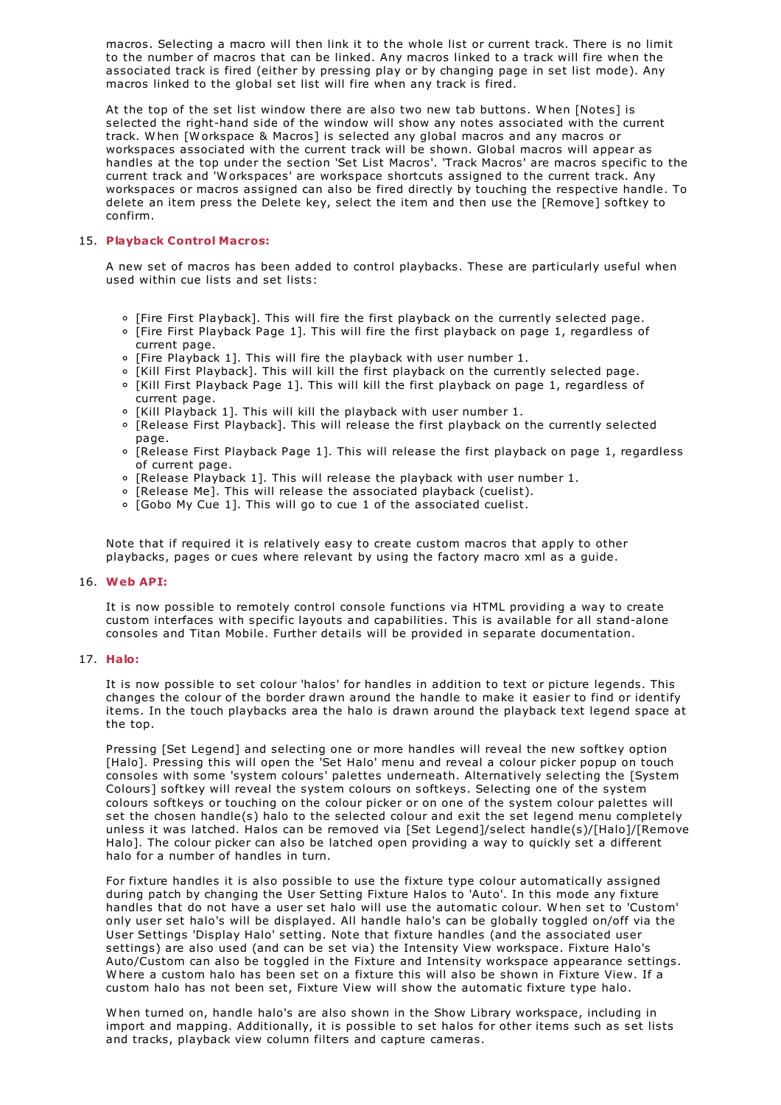macros. Selecting a macro will then link it to the whole list or current track. There is no limit to the number of macros that can be linked. Any macros linked to a track will fire when the associated track is fired (either by pressing play or by changing page in set list mode). Any macros linked to the global set list will fire when any track is fired.

At the top of the set list window there are also two new tab buttons. W hen [Notes] is selected the right-hand side of the window will show any notes associated with the current track. W hen [W orkspace & Macros] is selected any global macros and any macros or workspaces associated with the current track will be shown. Global macros will appear as handles at the top under the section 'Set List Macros'. 'Track Macros' are macros specific to the current track and 'W orkspaces' are workspace shortcuts assigned to the current track. Any workspaces or macros assigned can also be fired directly by touching the respective handle. To delete an item press the Delete key, select the item and then use the [Remove] softkey to confirm.

# 15. **Playback Control Macros:**

A new set of macros has been added to control playbacks. These are particularly useful when used within cue lists and set lists:

- [Fire First Playback]. This will fire the first playback on the currently selected page.
- [Fire First Playback Page 1]. This will fire the first playback on page 1, regardless of current page.
- [Fire Playback 1]. This will fire the playback with user number 1.
- [Kill First Playback]. This will kill the first playback on the currently selected page.
- [Kill First Playback Page 1]. This will kill the first playback on page 1, regardless of current page.
- [Kill Playback 1]. This will kill the playback with user number 1.
- [Release First Playback]. This will release the first playback on the currently selected page.
- [Release First Playback Page 1]. This will release the first playback on page 1, regardless of current page.
- $\circ$  [Release Playback 1]. This will release the playback with user number 1.
- [Release Me]. This will release the associated playback (cuelist).
- [Gobo My Cue 1]. This will go to cue 1 of the associated cuelist.

Note that if required it is relatively easy to create custom macros that apply to other playbacks, pages or cues where relevant by using the factory macro xml as a guide.

# 16. **Web API:**

It is now possible to remotely control console functions via HTML providing a way to create custom interfaces with specific layouts and capabilities. This is available for all stand-alone consoles and Titan Mobile. Further details will be provided in separate documentation.

# 17. **Halo:**

It is now possible to set colour 'halos' for handles in addition to text or picture legends. This changes the colour of the border drawn around the handle to make it easier to find or identify items. In the touch playbacks area the halo is drawn around the playback text legend space at the top.

Pressing [Set Legend] and selecting one or more handles will reveal the new softkey option [Halo]. Pressing this will open the 'Set Halo' menu and reveal a colour picker popup on touch consoles with some 'system colours' palettes underneath. Alternatively selecting the [System Colours] softkey will reveal the system colours on softkeys. Selecting one of the system colours softkeys or touching on the colour picker or on one of the system colour palettes will set the chosen handle(s) halo to the selected colour and exit the set legend menu completely unless it was latched. Halos can be removed via [Set Legend]/select handle(s)/[Halo]/[Remove Halo]. The colour picker can also be latched open providing a way to quickly set a different halo for a number of handles in turn.

For fixture handles it is also possible to use the fixture type colour automatically assigned during patch by changing the User Setting Fixture Halos to 'Auto'. In this mode any fixture handles that do not have a user set halo will use the automatic colour. W hen set to 'Custom' only user set halo's will be displayed. All handle halo's can be globally toggled on/off via the User Settings 'Display Halo' setting. Note that fixture handles (and the associated user settings) are also used (and can be set via) the Intensity View workspace. Fixture Halo's Auto/Custom can also be toggled in the Fixture and Intensity workspace appearance settings. W here a custom halo has been set on a fixture this will also be shown in Fixture View. If a custom halo has not been set, Fixture View will show the automatic fixture type halo.

W hen turned on, handle halo's are also shown in the Show Library workspace, including in import and mapping. Additionally, it is possible to set halos for other items such as set lists and tracks, playback view column filters and capture cameras.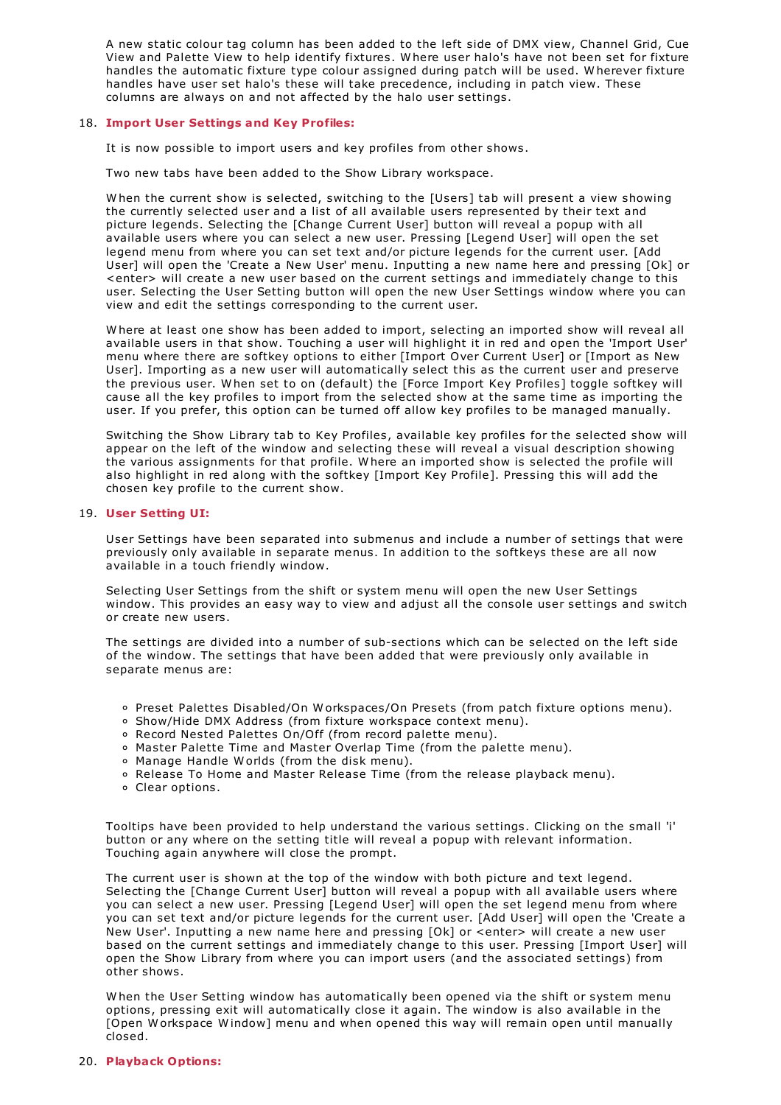A new static colour tag column has been added to the left side of DMX view, Channel Grid, Cue View and Palette View to help identify fixtures. W here user halo's have not been set for fixture handles the automatic fixture type colour assigned during patch will be used. W herever fixture handles have user set halo's these will take precedence, including in patch view. These columns are always on and not affected by the halo user settings.

# 18. **Import User Settings and Key Profiles:**

It is now possible to import users and key profiles from other shows.

Two new tabs have been added to the Show Library workspace.

W hen the current show is selected, switching to the [Users] tab will present a view showing the currently selected user and a list of all available users represented by their text and picture legends. Selecting the [Change Current User] button will reveal a popup with all available users where you can select a new user. Pressing [Legend User] will open the set legend menu from where you can set text and/or picture legends for the current user. [Add User] will open the 'Create a New User' menu. Inputting a new name here and pressing [Ok] or <enter> will create a new user based on the current settings and immediately change to this user. Selecting the User Setting button will open the new User Settings window where you can view and edit the settings corresponding to the current user.

W here at least one show has been added to import, selecting an imported show will reveal all available users in that show. Touching a user will highlight it in red and open the 'Import User' menu where there are softkey options to either [Import Over Current User] or [Import as New User]. Importing as a new user will automatically select this as the current user and preserve the previous user. W hen set to on (default) the [Force Import Key Profiles] toggle softkey will cause all the key profiles to import from the selected show at the same time as importing the user. If you prefer, this option can be turned off allow key profiles to be managed manually.

Switching the Show Library tab to Key Profiles, available key profiles for the selected show will appear on the left of the window and selecting these will reveal a visual description showing the various assignments for that profile. W here an imported show is selected the profile will also highlight in red along with the softkey [Import Key Profile]. Pressing this will add the chosen key profile to the current show.

#### 19. **User Setting UI:**

User Settings have been separated into submenus and include a number of settings that were previously only available in separate menus. In addition to the softkeys these are all now available in a touch friendly window.

Selecting User Settings from the shift or system menu will open the new User Settings window. This provides an easy way to view and adjust all the console user settings and switch or create new users.

The settings are divided into a number of sub-sections which can be selected on the left side of the window. The settings that have been added that were previously only available in separate menus are:

- Preset Palettes Disabled/On W orkspaces/On Presets (from patch fixture options menu).
- o Show/Hide DMX Address (from fixture workspace context menu).
- Record Nested Palettes On/Off (from record palette menu).
- Master Palette Time and Master Overlap Time (from the palette menu).
- Manage Handle W orlds (from the disk menu).
- Release To Home and Master Release Time (from the release playback menu).
- Clear options.

Tooltips have been provided to help understand the various settings. Clicking on the small 'i' button or any where on the setting title will reveal a popup with relevant information. Touching again anywhere will close the prompt.

The current user is shown at the top of the window with both picture and text legend. Selecting the [Change Current User] button will reveal a popup with all available users where you can select a new user. Pressing [Legend User] will open the set legend menu from where you can set text and/or picture legends for the current user. [Add User] will open the 'Create a New User'. Inputting a new name here and pressing [Ok] or <enter> will create a new user based on the current settings and immediately change to this user. Pressing [Import User] will open the Show Library from where you can import users (and the associated settings) from other shows.

W hen the User Setting window has automatically been opened via the shift or system menu options, pressing exit will automatically close it again. The window is also available in the [Open W orkspace W indow] menu and when opened this way will remain open until manually closed.

#### 20. **Playback Options:**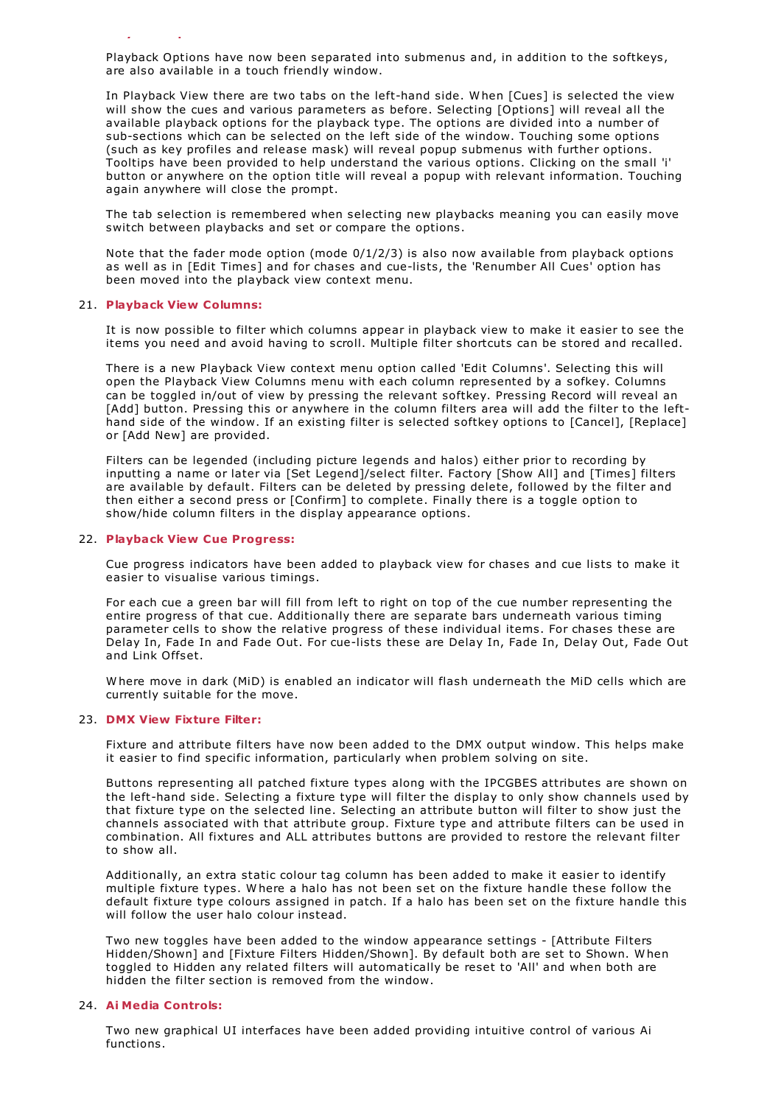Playback Options have now been separated into submenus and, in addition to the softkeys, are also available in a touch friendly window.

In Playback View there are two tabs on the left-hand side. W hen [Cues] is selected the view will show the cues and various parameters as before. Selecting [Options] will reveal all the available playback options for the playback type. The options are divided into a number of sub-sections which can be selected on the left side of the window. Touching some options (such as key profiles and release mask) will reveal popup submenus with further options. Tooltips have been provided to help understand the various options. Clicking on the small 'i' button or anywhere on the option title will reveal a popup with relevant information. Touching again anywhere will close the prompt.

The tab selection is remembered when selecting new playbacks meaning you can easily move switch between playbacks and set or compare the options.

Note that the fader mode option (mode 0/1/2/3) is also now available from playback options as well as in [Edit Times] and for chases and cue-lists, the 'Renumber All Cues' option has been moved into the playback view context menu.

#### 21. **Playback View Columns:**

20. **Playback Options:**

It is now possible to filter which columns appear in playback view to make it easier to see the items you need and avoid having to scroll. Multiple filter shortcuts can be stored and recalled.

There is a new Playback View context menu option called 'Edit Columns'. Selecting this will open the Playback View Columns menu with each column represented by a sofkey. Columns can be toggled in/out of view by pressing the relevant softkey. Pressing Record will reveal an [Add] button. Pressing this or anywhere in the column filters area will add the filter to the lefthand side of the window. If an existing filter is selected softkey options to [Cancel], [Replace] or [Add New] are provided.

Filters can be legended (including picture legends and halos) either prior to recording by inputting a name or later via [Set Legend]/select filter. Factory [Show All] and [Times] filters are available by default. Filters can be deleted by pressing delete, followed by the filter and then either a second press or [Confirm] to complete. Finally there is a toggle option to show/hide column filters in the display appearance options.

## 22. **Playback View Cue Progress:**

Cue progress indicators have been added to playback view for chases and cue lists to make it easier to visualise various timings.

For each cue a green bar will fill from left to right on top of the cue number representing the entire progress of that cue. Additionally there are separate bars underneath various timing parameter cells to show the relative progress of these individual items. For chases these are Delay In, Fade In and Fade Out. For cue-lists these are Delay In, Fade In, Delay Out, Fade Out and Link Offset.

W here move in dark (MiD) is enabled an indicator will flash underneath the MiD cells which are currently suitable for the move.

#### 23. **DMX View Fixture Filter:**

Fixture and attribute filters have now been added to the DMX output window. This helps make it easier to find specific information, particularly when problem solving on site.

Buttons representing all patched fixture types along with the IPCGBES attributes are shown on the left-hand side. Selecting a fixture type will filter the display to only show channels used by that fixture type on the selected line. Selecting an attribute button will filter to show just the channels associated with that attribute group. Fixture type and attribute filters can be used in combination. All fixtures and ALL attributes buttons are provided to restore the relevant filter to show all.

Additionally, an extra static colour tag column has been added to make it easier to identify multiple fixture types. W here a halo has not been set on the fixture handle these follow the default fixture type colours assigned in patch. If a halo has been set on the fixture handle this will follow the user halo colour instead.

Two new toggles have been added to the window appearance settings - [Attribute Filters Hidden/Shown] and [Fixture Filters Hidden/Shown]. By default both are set to Shown. W hen toggled to Hidden any related filters will automatically be reset to 'All' and when both are hidden the filter section is removed from the window.

#### 24. **Ai Media Controls:**

Two new graphical UI interfaces have been added providing intuitive control of various Ai functions.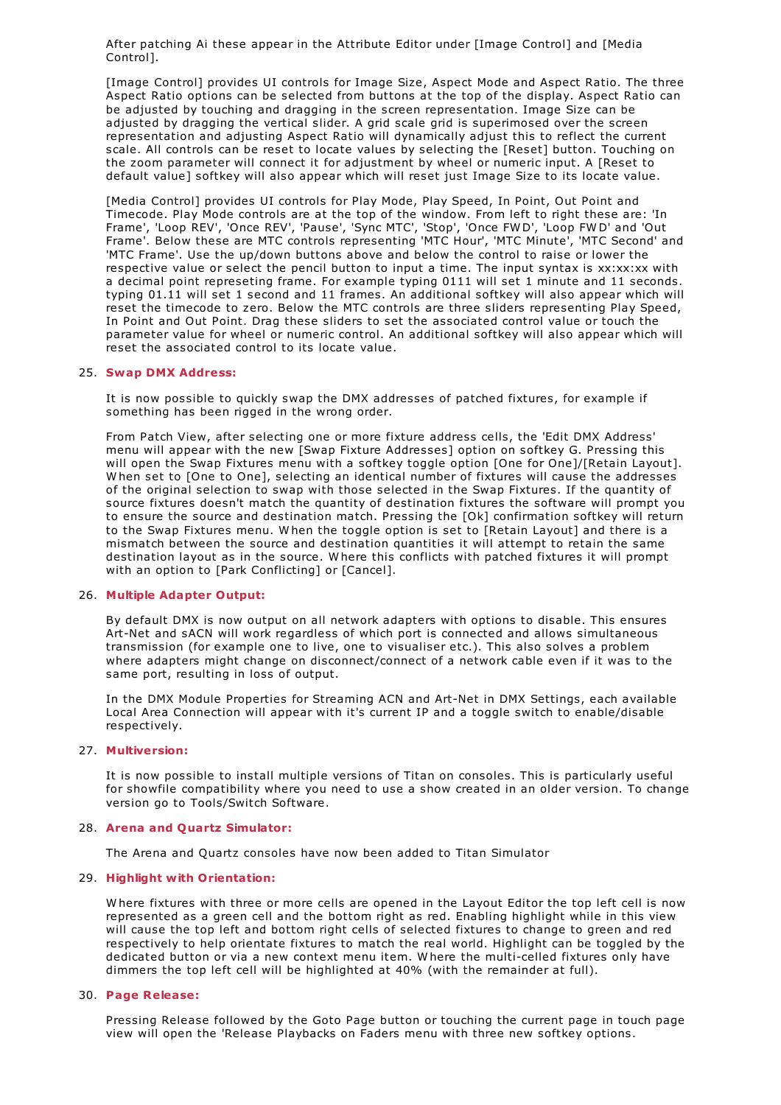After patching Ai these appear in the Attribute Editor under [Image Control] and [Media Control].

[Image Control] provides UI controls for Image Size, Aspect Mode and Aspect Ratio. The three Aspect Ratio options can be selected from buttons at the top of the display. Aspect Ratio can be adjusted by touching and dragging in the screen representation. Image Size can be adjusted by dragging the vertical slider. A grid scale grid is superimosed over the screen representation and adjusting Aspect Ratio will dynamically adjust this to reflect the current scale. All controls can be reset to locate values by selecting the [Reset] button. Touching on the zoom parameter will connect it for adjustment by wheel or numeric input. A [Reset to default value] softkey will also appear which will reset just Image Size to its locate value.

[Media Control] provides UI controls for Play Mode, Play Speed, In Point, Out Point and Timecode. Play Mode controls are at the top of the window. From left to right these are: 'In Frame', 'Loop REV', 'Once REV', 'Pause', 'Sync MTC', 'Stop', 'Once FW D', 'Loop FW D' and 'Out Frame'. Below these are MTC controls representing 'MTC Hour', 'MTC Minute', 'MTC Second' and 'MTC Frame'. Use the up/down buttons above and below the control to raise or lower the respective value or select the pencil button to input a time. The input syntax is xx:xx:xx with a decimal point represeting frame. For example typing 0111 will set 1 minute and 11 seconds. typing 01.11 will set 1 second and 11 frames. An additional softkey will also appear which will reset the timecode to zero. Below the MTC controls are three sliders representing Play Speed, In Point and Out Point. Drag these sliders to set the associated control value or touch the parameter value for wheel or numeric control. An additional softkey will also appear which will reset the associated control to its locate value.

### 25. **Swap DMX Address:**

It is now possible to quickly swap the DMX addresses of patched fixtures, for example if something has been rigged in the wrong order.

From Patch View, after selecting one or more fixture address cells, the 'Edit DMX Address' menu will appear with the new [Swap Fixture Addresses] option on softkey G. Pressing this will open the Swap Fixtures menu with a softkey toggle option [One for One]/[Retain Layout]. W hen set to [One to One], selecting an identical number of fixtures will cause the addresses of the original selection to swap with those selected in the Swap Fixtures. If the quantity of source fixtures doesn't match the quantity of destination fixtures the software will prompt you to ensure the source and destination match. Pressing the [Ok] confirmation softkey will return to the Swap Fixtures menu. W hen the toggle option is set to [Retain Layout] and there is a mismatch between the source and destination quantities it will attempt to retain the same destination layout as in the source. W here this conflicts with patched fixtures it will prompt with an option to [Park Conflicting] or [Cancel].

# 26. **Multiple Adapter Output:**

By default DMX is now output on all network adapters with options to disable. This ensures Art-Net and sACN will work regardless of which port is connected and allows simultaneous transmission (for example one to live, one to visualiser etc.). This also solves a problem where adapters might change on disconnect/connect of a network cable even if it was to the same port, resulting in loss of output.

In the DMX Module Properties for Streaming ACN and Art-Net in DMX Settings, each available Local Area Connection will appear with it's current IP and a toggle switch to enable/disable respectively.

#### 27. **Multiversion:**

It is now possible to install multiple versions of Titan on consoles. This is particularly useful for showfile compatibility where you need to use a show created in an older version. To change version go to Tools/Switch Software.

#### 28. **Arena and Quartz Simulator:**

The Arena and Quartz consoles have now been added to Titan Simulator

#### 29. **Highlight with Orientation:**

W here fixtures with three or more cells are opened in the Layout Editor the top left cell is now represented as a green cell and the bottom right as red. Enabling highlight while in this view will cause the top left and bottom right cells of selected fixtures to change to green and red respectively to help orientate fixtures to match the real world. Highlight can be toggled by the dedicated button or via a new context menu item. W here the multi-celled fixtures only have dimmers the top left cell will be highlighted at 40% (with the remainder at full).

### 30. **Page Release:**

Pressing Release followed by the Goto Page button or touching the current page in touch page view will open the 'Release Playbacks on Faders menu with three new softkey options.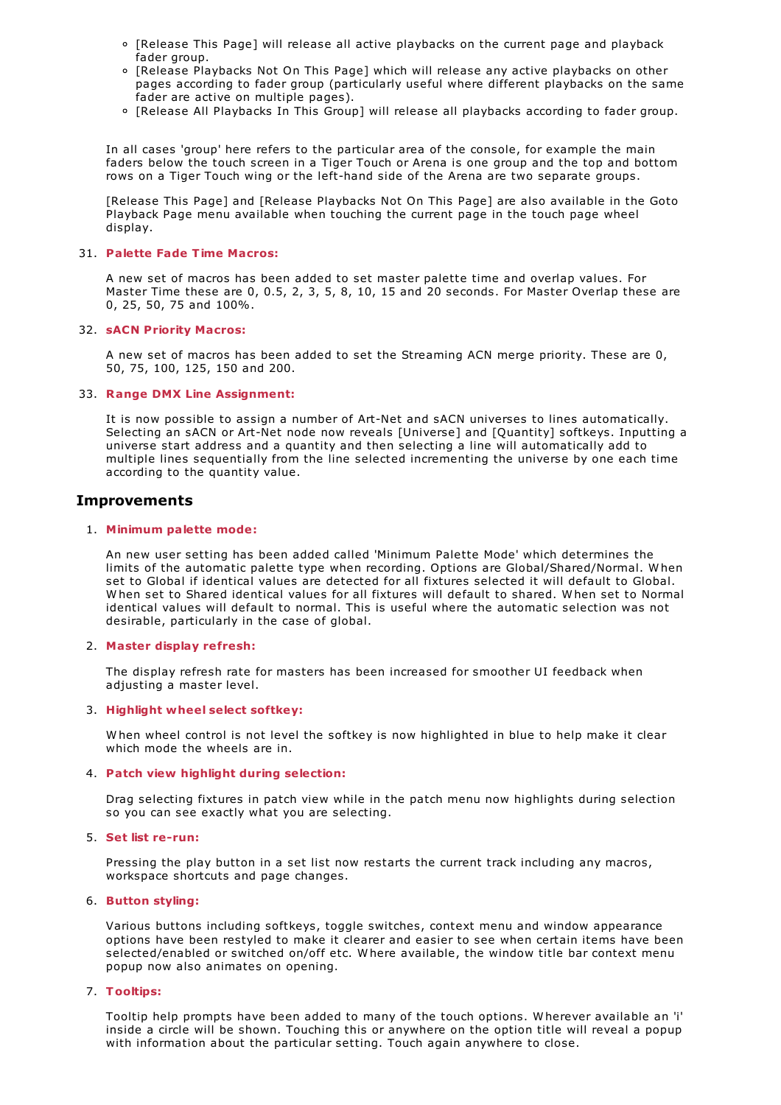- [Release This Page] will release all active playbacks on the current page and playback fader group.
- [Release Playbacks Not On This Page] which will release any active playbacks on other pages according to fader group (particularly useful where different playbacks on the same fader are active on multiple pages).
- [Release All Playbacks In This Group] will release all playbacks according to fader group.

In all cases 'group' here refers to the particular area of the console, for example the main faders below the touch screen in a Tiger Touch or Arena is one group and the top and bottom rows on a Tiger Touch wing or the left-hand side of the Arena are two separate groups.

[Release This Page] and [Release Playbacks Not On This Page] are also available in the Goto Playback Page menu available when touching the current page in the touch page wheel display.

#### 31. **Palette Fade Time Macros:**

A new set of macros has been added to set master palette time and overlap values. For Master Time these are 0, 0.5, 2, 3, 5, 8, 10, 15 and 20 seconds. For Master Overlap these are 0, 25, 50, 75 and 100%.

#### 32. **sACN Priority Macros:**

A new set of macros has been added to set the Streaming ACN merge priority. These are 0, 50, 75, 100, 125, 150 and 200.

## 33. **Range DMX Line Assignment:**

It is now possible to assign a number of Art-Net and sACN universes to lines automatically. Selecting an sACN or Art-Net node now reveals [Universe] and [Quantity] softkeys. Inputting a universe start address and a quantity and then selecting a line will automatically add to multiple lines sequentially from the line selected incrementing the universe by one each time according to the quantity value.

# **Improvements**

#### 1. **Minimum palette mode:**

An new user setting has been added called 'Minimum Palette Mode' which determines the limits of the automatic palette type when recording. Options are Global/Shared/Normal. When<br>set to Global if identical values are detected for all fixtures selected it will default to Global. When set to Shared identical values for all fixtures will default to shared. When set to Normal identical values will default to normal. This is useful where the automatic selection was not desirable, particularly in the case of global.

# 2. **Master display refresh:**

The display refresh rate for masters has been increased for smoother UI feedback when adjusting a master level.

# 3. **Highlight wheel select softkey:**

W hen wheel control is not level the softkey is now highlighted in blue to help make it clear which mode the wheels are in.

#### 4. **Patch view highlight during selection:**

Drag selecting fixtures in patch view while in the patch menu now highlights during selection so you can see exactly what you are selecting.

#### 5. **Set list re-run:**

Pressing the play button in a set list now restarts the current track including any macros, workspace shortcuts and page changes.

# 6. **Button styling:**

Various buttons including softkeys, toggle switches, context menu and window appearance options have been restyled to make it clearer and easier to see when certain items have been selected/enabled or switched on/off etc. W here available, the window title bar context menu popup now also animates on opening.

#### 7. **Tooltips:**

Tooltip help prompts have been added to many of the touch options. W herever available an 'i' inside a circle will be shown. Touching this or anywhere on the option title will reveal a popup with information about the particular setting. Touch again anywhere to close.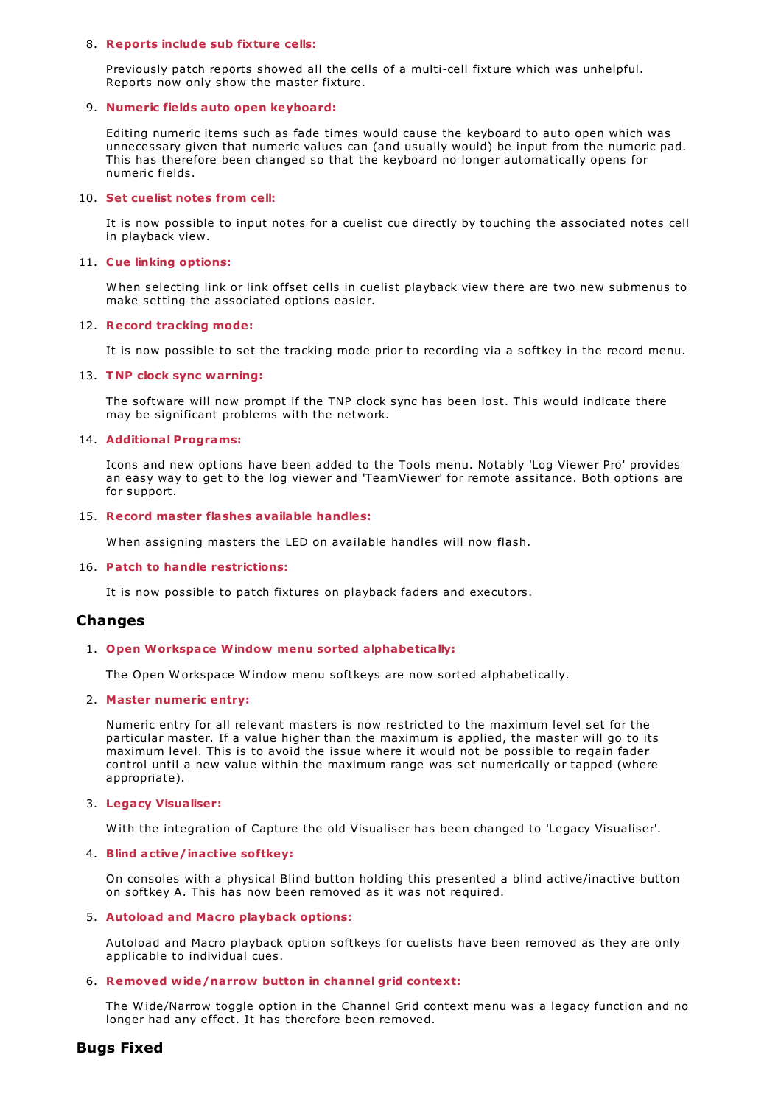#### 8. **Reports include sub fixture cells:**

Previously patch reports showed all the cells of a multi-cell fixture which was unhelpful. Reports now only show the master fixture.

# 9. **Numeric fields auto open keyboard:**

Editing numeric items such as fade times would cause the keyboard to auto open which was unnecessary given that numeric values can (and usually would) be input from the numeric pad. This has therefore been changed so that the keyboard no longer automatically opens for numeric fields.

## 10. **Set cuelist notes from cell:**

It is now possible to input notes for a cuelist cue directly by touching the associated notes cell in playback view.

#### 11. **Cue linking options:**

W hen selecting link or link offset cells in cuelist playback view there are two new submenus to make setting the associated options easier.

#### 12. **Record tracking mode:**

It is now possible to set the tracking mode prior to recording via a softkey in the record menu.

#### 13. **TNP clock sync warning:**

The software will now prompt if the TNP clock sync has been lost. This would indicate there may be significant problems with the network.

#### 14. **Additional Programs:**

Icons and new options have been added to the Tools menu. Notably 'Log Viewer Pro' provides an easy way to get to the log viewer and 'TeamViewer' for remote assitance. Both options are for support.

## 15. **Record master flashes available handles:**

W hen assigning masters the LED on available handles will now flash.

# 16. **Patch to handle restrictions:**

It is now possible to patch fixtures on playback faders and executors.

# **Changes**

# 1. **Open Workspace Window menu sorted alphabetically:**

The Open W orkspace W indow menu softkeys are now sorted alphabetically.

# 2. **Master numeric entry:**

Numeric entry for all relevant masters is now restricted to the maximum level set for the particular master. If a value higher than the maximum is applied, the master will go to its maximum level. This is to avoid the issue where it would not be possible to regain fader control until a new value within the maximum range was set numerically or tapped (where appropriate).

#### 3. **Legacy Visualiser:**

W ith the integration of Capture the old Visualiser has been changed to 'Legacy Visualiser'.

# 4. **Blind active/inactive softkey:**

On consoles with a physical Blind button holding this presented a blind active/inactive button on softkey A. This has now been removed as it was not required.

# 5. **Autoload and Macro playback options:**

Autoload and Macro playback option softkeys for cuelists have been removed as they are only applicable to individual cues.

# 6. **Removed wide/narrow button in channel grid context:**

The W ide/Narrow toggle option in the Channel Grid context menu was a legacy function and no longer had any effect. It has therefore been removed.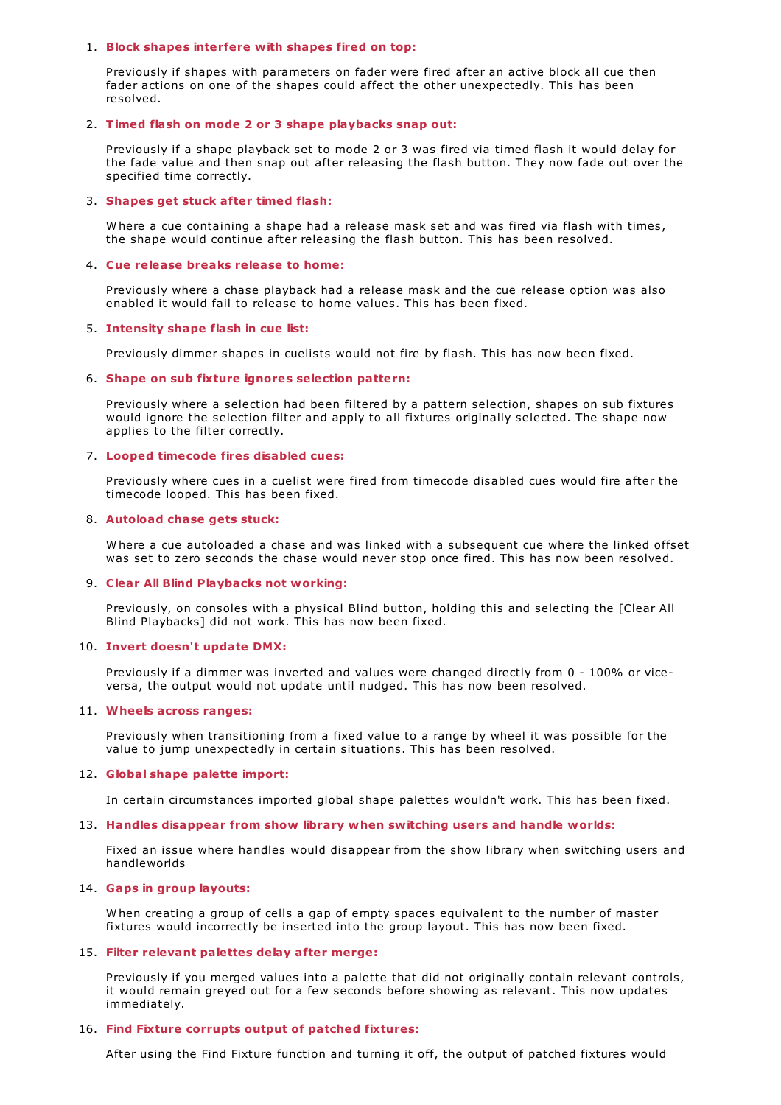#### 1. **Block shapes interfere with shapes fired on top:**

Previously if shapes with parameters on fader were fired after an active block all cue then fader actions on one of the shapes could affect the other unexpectedly. This has been resolved.

## 2. **Timed flash on mode 2 or 3 shape playbacks snap out:**

Previously if a shape playback set to mode 2 or 3 was fired via timed flash it would delay for the fade value and then snap out after releasing the flash button. They now fade out over the specified time correctly.

# 3. **Shapes get stuck after timed flash:**

W here a cue containing a shape had a release mask set and was fired via flash with times, the shape would continue after releasing the flash button. This has been resolved.

## 4. **Cue release breaks release to home:**

Previously where a chase playback had a release mask and the cue release option was also enabled it would fail to release to home values. This has been fixed.

#### 5. **Intensity shape flash in cue list:**

Previously dimmer shapes in cuelists would not fire by flash. This has now been fixed.

# 6. **Shape on sub fixture ignores selection pattern:**

Previously where a selection had been filtered by a pattern selection, shapes on sub fixtures would ignore the selection filter and apply to all fixtures originally selected. The shape now applies to the filter correctly.

#### 7. **Looped timecode fires disabled cues:**

Previously where cues in a cuelist were fired from timecode disabled cues would fire after the timecode looped. This has been fixed.

#### 8. **Autoload chase gets stuck:**

W here a cue autoloaded a chase and was linked with a subsequent cue where the linked offset was set to zero seconds the chase would never stop once fired. This has now been resolved.

# 9. **Clear All Blind Playbacks not working:**

Previously, on consoles with a physical Blind button, holding this and selecting the [Clear All Blind Playbacks] did not work. This has now been fixed.

# 10. **Invert doesn't update DMX:**

Previously if a dimmer was inverted and values were changed directly from 0 - 100% or viceversa, the output would not update until nudged. This has now been resolved.

# 11. **Wheels across ranges:**

Previously when transitioning from a fixed value to a range by wheel it was possible for the value to jump unexpectedly in certain situations. This has been resolved.

# 12. **Global shape palette import:**

In certain circumstances imported global shape palettes wouldn't work. This has been fixed.

# 13. **Handles disappear from show library when switching users and handle worlds:**

Fixed an issue where handles would disappear from the show library when switching users and handleworlds

# 14. **Gaps in group layouts:**

W hen creating a group of cells a gap of empty spaces equivalent to the number of master fixtures would incorrectly be inserted into the group layout. This has now been fixed.

# 15. **Filter relevant palettes delay after merge:**

Previously if you merged values into a palette that did not originally contain relevant controls, it would remain greyed out for a few seconds before showing as relevant. This now updates immediately.

# 16. **Find Fixture corrupts output of patched fixtures:**

After using the Find Fixture function and turning it off, the output of patched fixtures would